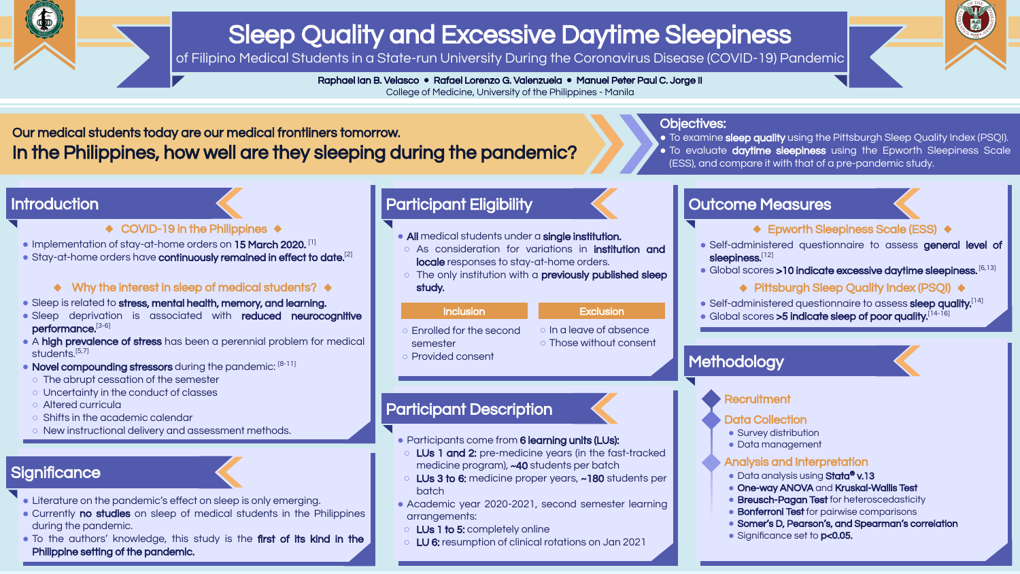

# Sleep Quality and Excessive Daytime Sleepiness

of Filipino Medical Students in a State-run University During the Coronavirus Disease (COVID-19) Pandemic

Raphael Ian B. Velasco **●** Rafael Lorenzo G. Valenzuela **●** Manuel Peter Paul C. Jorge II College of Medicine, University of the Philippines - Manila

- Literature on the pandemic's effect on sleep is only emerging.
- Currently no studies on sleep of medical students in the Philippines during the pandemic.
- To the authors' knowledge, this study is the first of its kind in the Philippine setting of the pandemic.

# Significance

- Sleep is related to stress, mental health, memory, and learning.
- Sleep deprivation is associated with reduced neurocognitive performance.[3-6]
- A high prevalence of stress has been a perennial problem for medical students.<sup>[5,7]</sup>
- Novel compounding stressors during the pandemic: [8-11]
- The abrupt cessation of the semester
- Uncertainty in the conduct of classes
- Altered curricula
- Shifts in the academic calendar
- New instructional delivery and assessment methods.

Our medical students today are our medical frontliners tomorrow. In the Philippines, how well are they sleeping during the pandemic?

# **Introduction**

- ◆ COVID-19 in the Philippines ◆
- Implementation of stay-at-home orders on 15 March 2020. [1]
- Stay-at-home orders have continuously remained in effect to date.<sup>[2]</sup>

### $\leftrightarrow$  Why the interest in sleep of medical students?  $\leftrightarrow$

- To examine sleep quality using the Pittsburgh Sleep Quality Index (PSQI).
- To evaluate daytime sleepiness using the Epworth Sleepiness Scale
- (ESS), and compare it with that of a pre-pandemic study.

- All medical students under a single institution.
- As consideration for variations in institution and locale responses to stay-at-home orders.
- o The only institution with a **previously published sleep** study.

#### Inclusion **Exclusion**

- Survey distribution
- Data management

### Objectives:

- Participants come from 6 learning units (LUs):
- LUs 1 and 2: pre-medicine years (in the fast-tracked medicine program), ~40 students per batch
- LUs 3 to 6: medicine proper years, ~180 students per batch
- Academic year 2020-2021, second semester learning arrangements:
- LUs 1 to 5: completely online
- LU 6: resumption of clinical rotations on Jan 2021



# Participant Eligibility

- Enrolled for the second semester
- In a leave of absence
- 
- Those without consent
- Provided consent

| <b>Outcome Measures</b> |
|-------------------------|
|-------------------------|

### ◆ Epworth Sleepiness Scale (ESS) ◆

- Self-administered questionnaire to assess general level of sleepiness.[12]
- Global scores > 10 indicate excessive daytime sleepiness. [6,13]

## ◆ Pittsburgh Sleep Quality Index (PSQI) ◆

- Self-administered questionnaire to assess sleep quality.[14]
- Global scores >5 indicate sleep of poor quality.[14-16]

# **Methodology**



#### **Recruitment**

#### Data Collection

#### Analysis and Interpretation

- Data analysis using Stata® v.13
- One-way ANOVA and Kruskal-Wallis Test
- Breusch-Pagan Test for heteroscedasticity
- Bonferroni Test for pairwise comparisons
- **●** Somer's D, Pearson's, and Spearman's correlation
- Significance set to **p<0.05.**

# Participant Description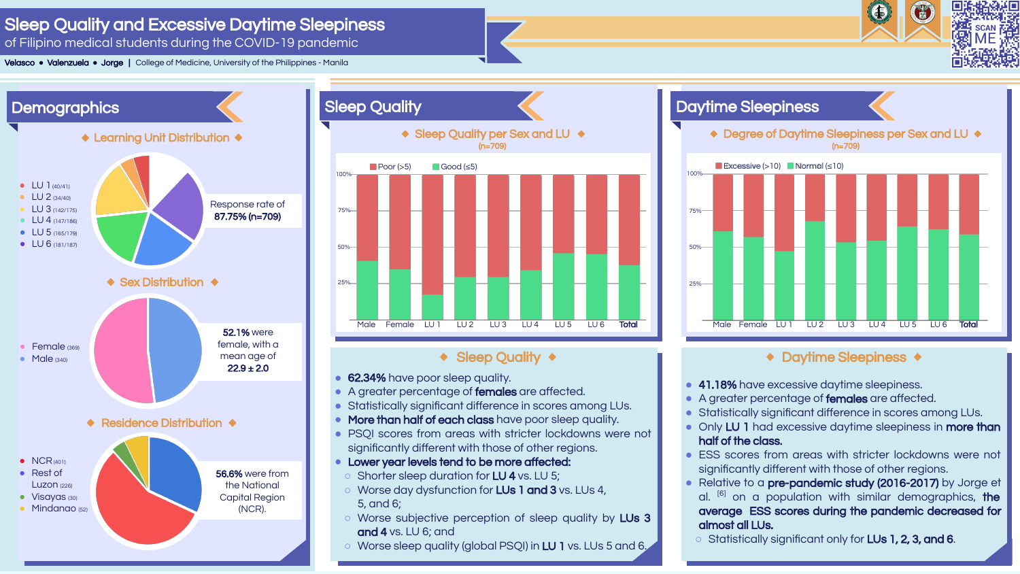# Sleep Quality and Excessive Daytime Sleepiness

of Filipino medical students during the COVID-19 pandemic

# Daytime Sleepiness ◆ Degree of Daytime Sleepiness per Sex and LU ◆ (n=709) Excessive  $(>10)$  Normal  $(≤10)$  $25%$ 50% 75% 100% Male Female LU1 LU2 LU3 LU4 LU5 LU6 Total

# ◆ Daytime Sleepiness ◆



- 62.34% have poor sleep quality.
- A greater percentage of females are affected.
- Statistically significant difference in scores among LUs.
- More than half of each class have poor sleep quality.
- PSOI scores from areas with stricter lockdowns were not significantly different with those of other regions.
- **●** Lower year levels tend to be more affected:
- Shorter sleep duration for LU 4 vs. LU 5;
- Worse day dysfunction for LUs 1 and 3 vs. LUs 4, 5, and 6;
- Worse subjective perception of sleep quality by LUs 3 and 4 vs. LU 6; and
- Worse sleep quality (global PSQI) in LU 1 vs. LUs 5 and 6.





- 41.18% have excessive daytime sleepiness.
- A greater percentage of females are affected.
- Statistically significant difference in scores among LUs.
- Only LU 1 had excessive daytime sleepiness in more than half of the class.
- ESS scores from areas with stricter lockdowns were not significantly different with those of other regions.
- Relative to a **pre-pandemic study (2016-2017)** by Jorge et al. <sup>[6]</sup> on a population with similar demographics, **the** average ESS scores during the pandemic decreased for almost all LUs.
- Statistically significant only for LUs 1, 2, 3, and 6.

Velasco **●** Valenzuela **●** Jorge | College of Medicine, University of the Philippines - Manila



## ◆ Sleep Quality ◆